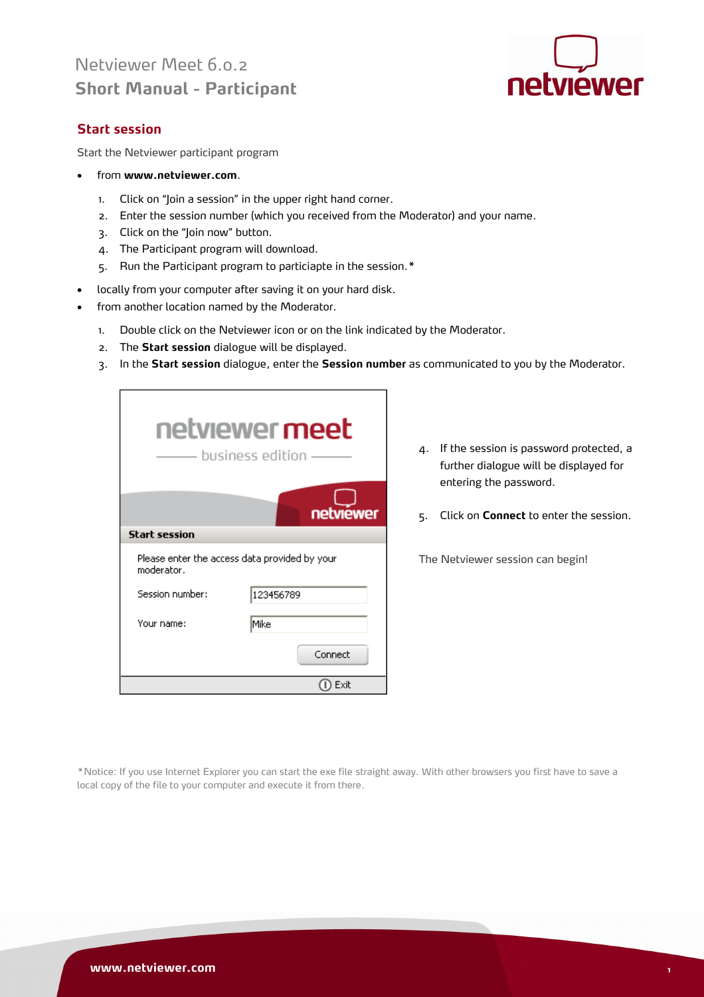# Netviewer Meet 6.0.2 **Short Manual - Participant**



# **Start session**

Start the Netviewer participant program

- from **www.netviewer.com**.
	- 1. Click on "Join a session" in the upper right hand corner.
	- 2. Enter the session number (which you received from the Moderator) and your name.
	- 3. Click on the "Join now" button.
	- 4. The Participant program will download.
	- 5. Run the Participant program to particiapte in the session.\*
- locally from your computer after saving it on your hard disk.
- from another location named by the Moderator.
	- 1. Double click on the Netviewer icon or on the link indicated by the Moderator.
	- 2. The **Start session** dialogue will be displayed.
	- 3. In the **Start session** dialogue, enter the **Session number** as communicated to you by the Moderator.

|                      | netviewer meet<br>- business edition -        |
|----------------------|-----------------------------------------------|
|                      | netviewer                                     |
| <b>Start session</b> |                                               |
| moderator.           | Please enter the access data provided by your |
| Session number:      | 123456789                                     |
| Your name:           | Mike                                          |
|                      | Connect                                       |
|                      | Exit                                          |

- 4. If the session is password protected, a further dialogue will be displayed for entering the password.
- 5. Click on **Connect** to enter the session.

The Netviewer session can begin!

\*Notice: If you use Internet Explorer you can start the exe file straight away. With other browsers you first have to save a local copy of the file to your computer and execute it from there.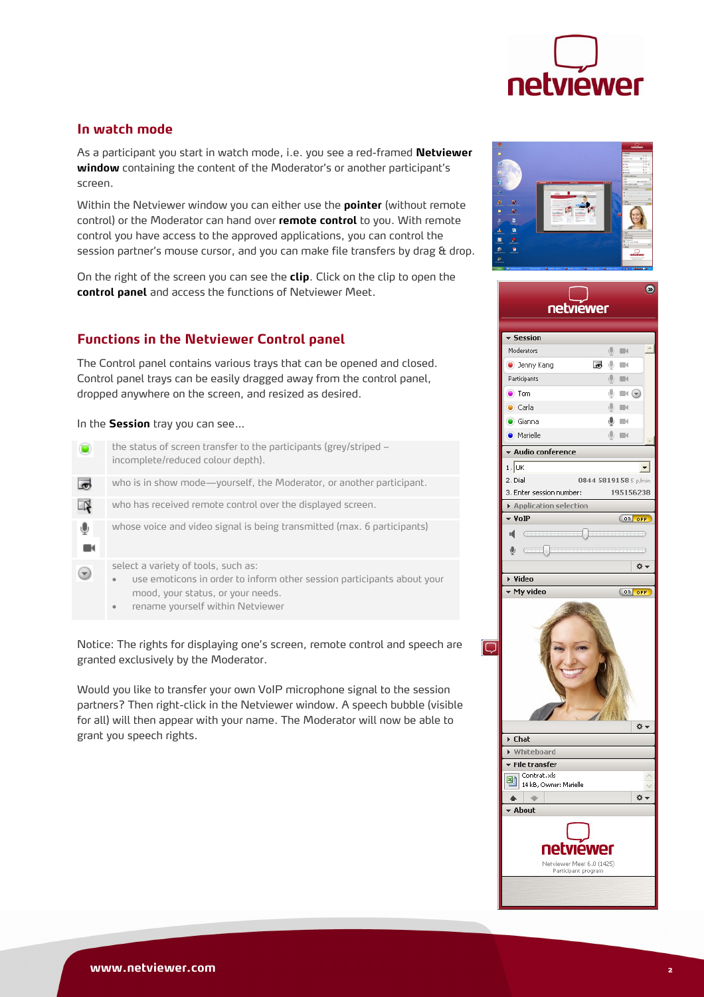

## **In watch mode**

As a participant you start in watch mode, i.e. you see a red-framed **Netviewer**  window containing the content of the Moderator's or another participant's screen.

Within the Netviewer window you can either use the **pointer** (without remote control) or the Moderator can hand over **remote control** to you. With remote control you have access to the approved applications, you can control the session partner's mouse cursor, and you can make file transfers by drag & drop.

On the right of the screen you can see the **clip**. Click on the clip to open the **control panel** and access the functions of Netviewer Meet.

# **Functions in the Netviewer Control panel**

The Control panel contains various trays that can be opened and closed. Control panel trays can be easily dragged away from the control panel, dropped anywhere on the screen, and resized as desired.

#### In the **Session** tray you can see…

|   | the status of screen transfer to the participants (grey/striped –<br>incomplete/reduced colour depth). |
|---|--------------------------------------------------------------------------------------------------------|
|   | who is in show mode—yourself, the Moderator, or another participant.                                   |
| N | who has received remote control over the displayed screen.                                             |
| ⊕ | whose voice and video signal is being transmitted (max. 6 participants)                                |
|   | select a variety of tools, such as:                                                                    |
|   | use emoticons in order to inform other session participants about your<br>$\bullet$                    |
|   | mood, your status, or your needs.                                                                      |
|   |                                                                                                        |
|   | rename yourself within Netviewer                                                                       |

Notice: The rights for displaying one's screen, remote control and speech are granted exclusively by the Moderator.

Would you like to transfer your own VoIP microphone signal to the session partners? Then right-click in the Netviewer window. A speech bubble (visible for all) will then appear with your name. The Moderator will now be able to grant you speech rights.